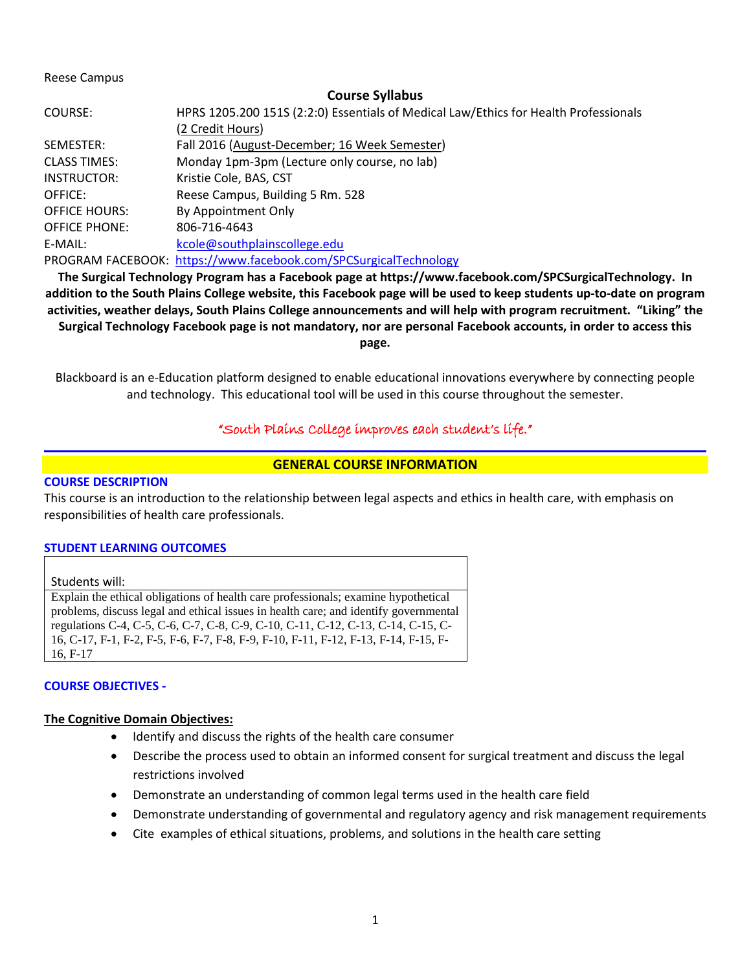### Reese Campus

### **Course Syllabus**

| COURSE:              | HPRS 1205.200 151S (2:2:0) Essentials of Medical Law/Ethics for Health Professionals |
|----------------------|--------------------------------------------------------------------------------------|
|                      | (2 Credit Hours)                                                                     |
| SEMESTER:            | Fall 2016 (August-December; 16 Week Semester)                                        |
| <b>CLASS TIMES:</b>  | Monday 1pm-3pm (Lecture only course, no lab)                                         |
| INSTRUCTOR:          | Kristie Cole, BAS, CST                                                               |
| OFFICE:              | Reese Campus, Building 5 Rm. 528                                                     |
| <b>OFFICE HOURS:</b> | By Appointment Only                                                                  |
| <b>OFFICE PHONE:</b> | 806-716-4643                                                                         |
| E-MAIL:              | kcole@southplainscollege.edu                                                         |
|                      | PROGRAM FACEBOOK: https://www.facebook.com/SPCSurgicalTechnology                     |

**The Surgical Technology Program has a Facebook page at https://www.facebook.com/SPCSurgicalTechnology. In addition to the South Plains College website, this Facebook page will be used to keep students up-to-date on program activities, weather delays, South Plains College announcements and will help with program recruitment. "Liking" the Surgical Technology Facebook page is not mandatory, nor are personal Facebook accounts, in order to access this page.**

Blackboard is an e-Education platform designed to enable educational innovations everywhere by connecting people and technology. This educational tool will be used in this course throughout the semester.

## "South Plains College improves each student's life."

## **GENERAL COURSE INFORMATION**

### **COURSE DESCRIPTION**

This course is an introduction to the relationship between legal aspects and ethics in health care, with emphasis on responsibilities of health care professionals.

### **STUDENT LEARNING OUTCOMES**

#### Students will:

Explain the ethical obligations of health care professionals; examine hypothetical problems, discuss legal and ethical issues in health care; and identify governmental regulations C-4, C-5, C-6, C-7, C-8, C-9, C-10, C-11, C-12, C-13, C-14, C-15, C-16, C-17, F-1, F-2, F-5, F-6, F-7, F-8, F-9, F-10, F-11, F-12, F-13, F-14, F-15, F-16, F-17

### **COURSE OBJECTIVES -**

#### **The Cognitive Domain Objectives:**

- Identify and discuss the rights of the health care consumer
- Describe the process used to obtain an informed consent for surgical treatment and discuss the legal restrictions involved
- Demonstrate an understanding of common legal terms used in the health care field
- Demonstrate understanding of governmental and regulatory agency and risk management requirements
- Cite examples of ethical situations, problems, and solutions in the health care setting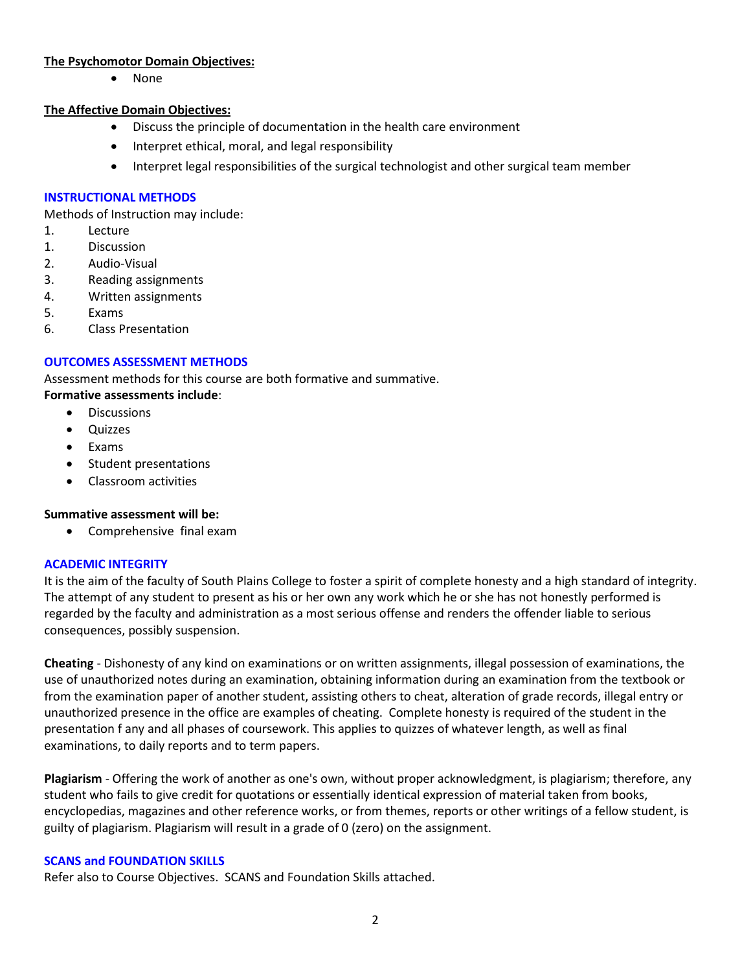## **The Psychomotor Domain Objectives:**

• None

## **The Affective Domain Objectives:**

- Discuss the principle of documentation in the health care environment
- Interpret ethical, moral, and legal responsibility
- Interpret legal responsibilities of the surgical technologist and other surgical team member

## **INSTRUCTIONAL METHODS**

Methods of Instruction may include:

- 1. Lecture
- 1. Discussion
- 2. Audio-Visual
- 3. Reading assignments
- 4. Written assignments
- 5. Exams
- 6. Class Presentation

## **OUTCOMES ASSESSMENT METHODS**

Assessment methods for this course are both formative and summative.

## **Formative assessments include**:

- Discussions
- Quizzes
- Exams
- Student presentations
- Classroom activities

## **Summative assessment will be:**

• Comprehensive final exam

## **ACADEMIC INTEGRITY**

It is the aim of the faculty of South Plains College to foster a spirit of complete honesty and a high standard of integrity. The attempt of any student to present as his or her own any work which he or she has not honestly performed is regarded by the faculty and administration as a most serious offense and renders the offender liable to serious consequences, possibly suspension.

**Cheating** - Dishonesty of any kind on examinations or on written assignments, illegal possession of examinations, the use of unauthorized notes during an examination, obtaining information during an examination from the textbook or from the examination paper of another student, assisting others to cheat, alteration of grade records, illegal entry or unauthorized presence in the office are examples of cheating. Complete honesty is required of the student in the presentation f any and all phases of coursework. This applies to quizzes of whatever length, as well as final examinations, to daily reports and to term papers.

**Plagiarism** - Offering the work of another as one's own, without proper acknowledgment, is plagiarism; therefore, any student who fails to give credit for quotations or essentially identical expression of material taken from books, encyclopedias, magazines and other reference works, or from themes, reports or other writings of a fellow student, is guilty of plagiarism. Plagiarism will result in a grade of 0 (zero) on the assignment.

## **SCANS and FOUNDATION SKILLS**

Refer also to Course Objectives. SCANS and Foundation Skills attached.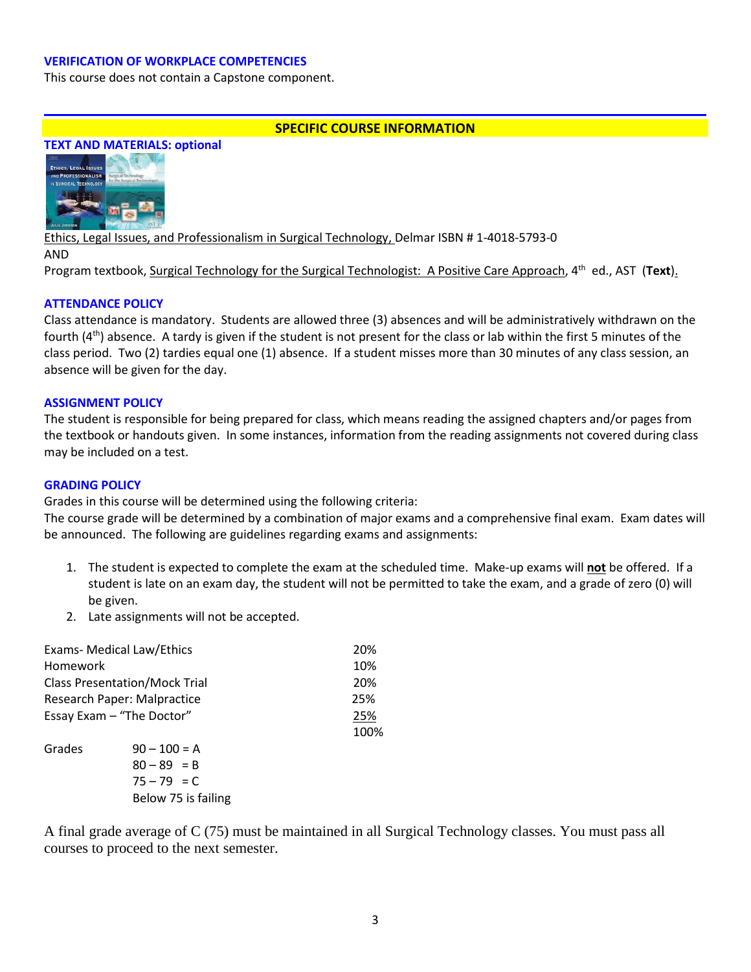### **VERIFICATION OF WORKPLACE COMPETENCIES**

This course does not contain a Capstone component.

### **SPECIFIC COURSE INFORMATION**



Ethics, Legal Issues, and Professionalism in Surgical Technology, Delmar ISBN # 1-4018-5793-0 AND Program textbook, Surgical Technology for the Surgical Technologist: A Positive Care Approach, 4th ed., AST (**Text**).

### **ATTENDANCE POLICY**

Class attendance is mandatory. Students are allowed three (3) absences and will be administratively withdrawn on the fourth (4<sup>th</sup>) absence. A tardy is given if the student is not present for the class or lab within the first 5 minutes of the class period. Two (2) tardies equal one (1) absence. If a student misses more than 30 minutes of any class session, an absence will be given for the day.

#### **ASSIGNMENT POLICY**

The student is responsible for being prepared for class, which means reading the assigned chapters and/or pages from the textbook or handouts given. In some instances, information from the reading assignments not covered during class may be included on a test.

#### **GRADING POLICY**

Grades in this course will be determined using the following criteria:

The course grade will be determined by a combination of major exams and a comprehensive final exam. Exam dates will be announced. The following are guidelines regarding exams and assignments:

- 1. The student is expected to complete the exam at the scheduled time. Make-up exams will **not** be offered. If a student is late on an exam day, the student will not be permitted to take the exam, and a grade of zero (0) will be given.
- 2. Late assignments will not be accepted.

| <b>Exams- Medical Law/Ethics</b>     |                     | 20%  |
|--------------------------------------|---------------------|------|
| Homework                             |                     | 10%  |
| <b>Class Presentation/Mock Trial</b> | 20%                 |      |
| Research Paper: Malpractice          | 25%                 |      |
| Essay Exam - "The Doctor"            |                     | 25%  |
|                                      |                     | 100% |
| Grades                               | $90 - 100 = A$      |      |
|                                      | $80 - 89 = B$       |      |
|                                      | $75 - 79 = C$       |      |
|                                      | Below 75 is failing |      |

A final grade average of C (75) must be maintained in all Surgical Technology classes. You must pass all courses to proceed to the next semester.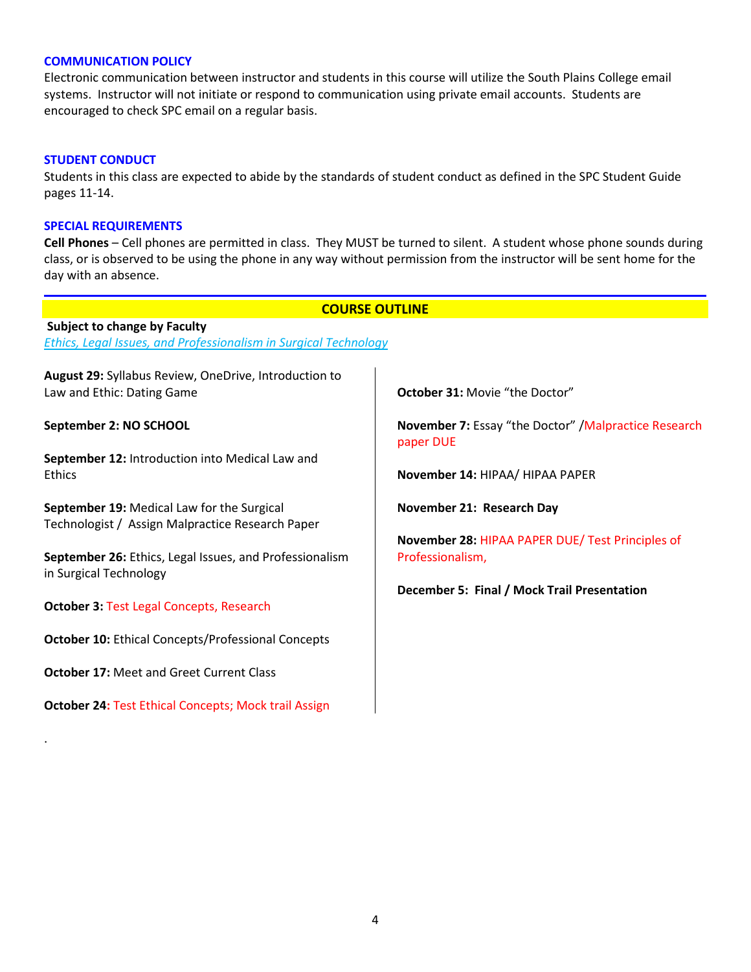### **COMMUNICATION POLICY**

Electronic communication between instructor and students in this course will utilize the South Plains College email systems. Instructor will not initiate or respond to communication using private email accounts. Students are encouraged to check SPC email on a regular basis.

#### **STUDENT CONDUCT**

Students in this class are expected to abide by the standards of student conduct as defined in the SPC Student Guide pages 11-14.

#### **SPECIAL REQUIREMENTS**

**Cell Phones** – Cell phones are permitted in class. They MUST be turned to silent. A student whose phone sounds during class, or is observed to be using the phone in any way without permission from the instructor will be sent home for the day with an absence.

#### **COURSE OUTLINE**

**Subject to change by Faculty** *Ethics, Legal Issues, and Professionalism in Surgical Technology*

**August 29:** Syllabus Review, OneDrive, Introduction to Law and Ethic: Dating Game

**September 2: NO SCHOOL**

**September 12:** Introduction into Medical Law and Ethics

**September 19:** Medical Law for the Surgical Technologist / Assign Malpractice Research Paper

**September 26:** Ethics, Legal Issues, and Professionalism in Surgical Technology

**October 3:** Test Legal Concepts, Research

**October 10:** Ethical Concepts/Professional Concepts

**October 17:** Meet and Greet Current Class

.

**October 24:** Test Ethical Concepts; Mock trail Assign

**October 31:** Movie "the Doctor"

**November 7:** Essay "the Doctor" /Malpractice Research paper DUE

**November 14:** HIPAA/ HIPAA PAPER

**November 21: Research Day** 

**November 28:** HIPAA PAPER DUE/ Test Principles of Professionalism,

**December 5: Final / Mock Trail Presentation**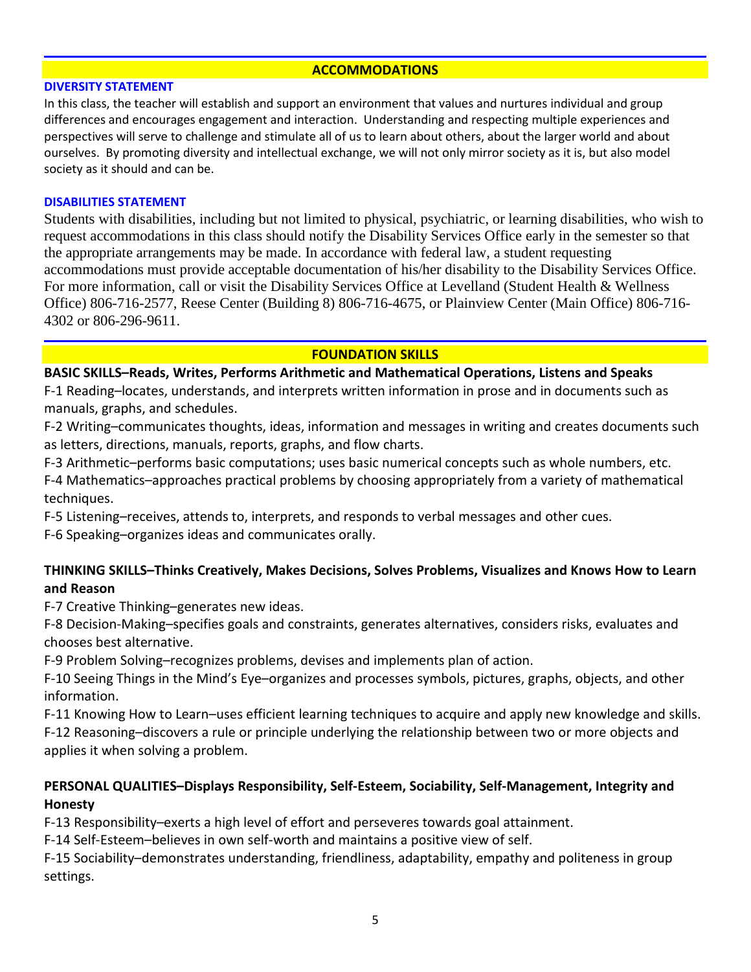## **ACCOMMODATIONS**

### **DIVERSITY STATEMENT**

In this class, the teacher will establish and support an environment that values and nurtures individual and group differences and encourages engagement and interaction. Understanding and respecting multiple experiences and perspectives will serve to challenge and stimulate all of us to learn about others, about the larger world and about ourselves. By promoting diversity and intellectual exchange, we will not only mirror society as it is, but also model society as it should and can be.

## **DISABILITIES STATEMENT**

Students with disabilities, including but not limited to physical, psychiatric, or learning disabilities, who wish to request accommodations in this class should notify the Disability Services Office early in the semester so that the appropriate arrangements may be made. In accordance with federal law, a student requesting accommodations must provide acceptable documentation of his/her disability to the Disability Services Office. For more information, call or visit the Disability Services Office at Levelland (Student Health & Wellness Office) 806-716-2577, Reese Center (Building 8) 806-716-4675, or Plainview Center (Main Office) 806-716- 4302 or 806-296-9611.

## **FOUNDATION SKILLS**

## **BASIC SKILLS–Reads, Writes, Performs Arithmetic and Mathematical Operations, Listens and Speaks**

F-1 Reading–locates, understands, and interprets written information in prose and in documents such as manuals, graphs, and schedules.

F-2 Writing–communicates thoughts, ideas, information and messages in writing and creates documents such as letters, directions, manuals, reports, graphs, and flow charts.

F-3 Arithmetic–performs basic computations; uses basic numerical concepts such as whole numbers, etc.

F-4 Mathematics–approaches practical problems by choosing appropriately from a variety of mathematical techniques.

F-5 Listening–receives, attends to, interprets, and responds to verbal messages and other cues.

F-6 Speaking–organizes ideas and communicates orally.

# **THINKING SKILLS–Thinks Creatively, Makes Decisions, Solves Problems, Visualizes and Knows How to Learn and Reason**

F-7 Creative Thinking–generates new ideas.

F-8 Decision-Making–specifies goals and constraints, generates alternatives, considers risks, evaluates and chooses best alternative.

F-9 Problem Solving–recognizes problems, devises and implements plan of action.

F-10 Seeing Things in the Mind's Eye–organizes and processes symbols, pictures, graphs, objects, and other information.

F-11 Knowing How to Learn–uses efficient learning techniques to acquire and apply new knowledge and skills. F-12 Reasoning–discovers a rule or principle underlying the relationship between two or more objects and applies it when solving a problem.

# **PERSONAL QUALITIES–Displays Responsibility, Self-Esteem, Sociability, Self-Management, Integrity and Honesty**

F-13 Responsibility–exerts a high level of effort and perseveres towards goal attainment.

F-14 Self-Esteem–believes in own self-worth and maintains a positive view of self.

F-15 Sociability–demonstrates understanding, friendliness, adaptability, empathy and politeness in group settings.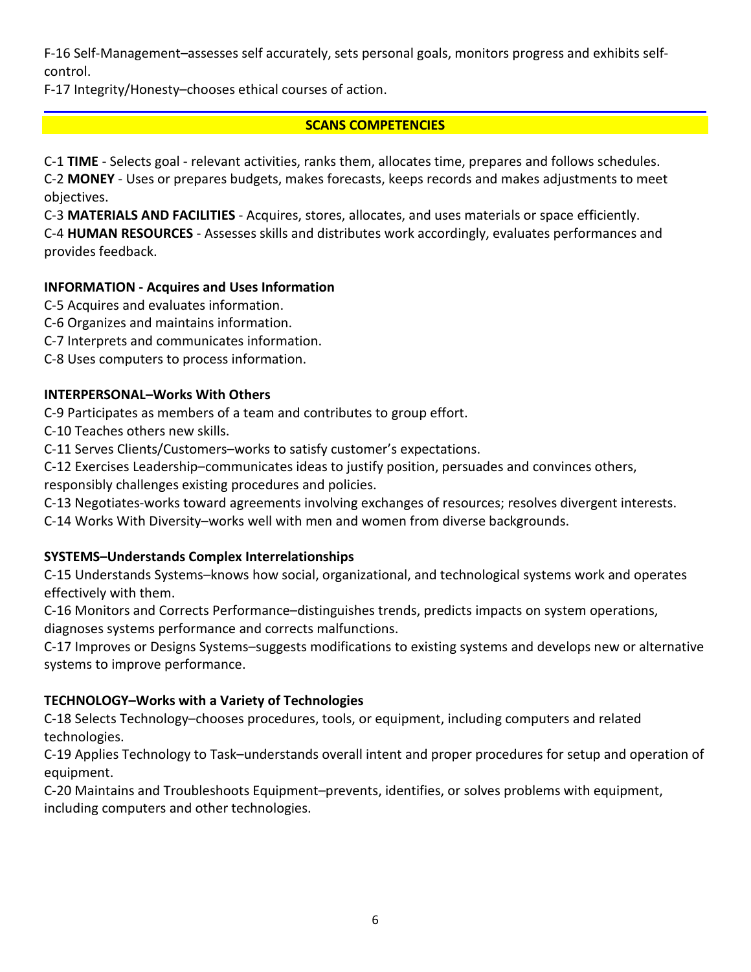F-16 Self-Management–assesses self accurately, sets personal goals, monitors progress and exhibits selfcontrol.

F-17 Integrity/Honesty–chooses ethical courses of action.

# **SCANS COMPETENCIES**

C-1 **TIME** - Selects goal - relevant activities, ranks them, allocates time, prepares and follows schedules. C-2 **MONEY** - Uses or prepares budgets, makes forecasts, keeps records and makes adjustments to meet objectives.

C-3 **MATERIALS AND FACILITIES** - Acquires, stores, allocates, and uses materials or space efficiently. C-4 **HUMAN RESOURCES** - Assesses skills and distributes work accordingly, evaluates performances and provides feedback.

# **INFORMATION - Acquires and Uses Information**

C-5 Acquires and evaluates information.

- C-6 Organizes and maintains information.
- C-7 Interprets and communicates information.
- C-8 Uses computers to process information.

# **INTERPERSONAL–Works With Others**

C-9 Participates as members of a team and contributes to group effort.

C-10 Teaches others new skills.

C-11 Serves Clients/Customers–works to satisfy customer's expectations.

C-12 Exercises Leadership–communicates ideas to justify position, persuades and convinces others,

responsibly challenges existing procedures and policies.

C-13 Negotiates-works toward agreements involving exchanges of resources; resolves divergent interests.

C-14 Works With Diversity–works well with men and women from diverse backgrounds.

# **SYSTEMS–Understands Complex Interrelationships**

C-15 Understands Systems–knows how social, organizational, and technological systems work and operates effectively with them.

C-16 Monitors and Corrects Performance–distinguishes trends, predicts impacts on system operations, diagnoses systems performance and corrects malfunctions.

C-17 Improves or Designs Systems–suggests modifications to existing systems and develops new or alternative systems to improve performance.

# **TECHNOLOGY–Works with a Variety of Technologies**

C-18 Selects Technology–chooses procedures, tools, or equipment, including computers and related technologies.

C-19 Applies Technology to Task–understands overall intent and proper procedures for setup and operation of equipment.

C-20 Maintains and Troubleshoots Equipment–prevents, identifies, or solves problems with equipment, including computers and other technologies.